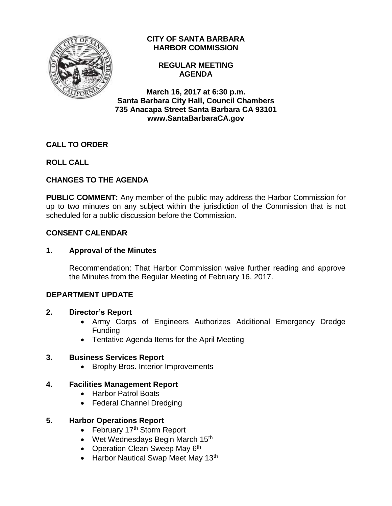

## **CITY OF SANTA BARBARA HARBOR COMMISSION**

**REGULAR MEETING AGENDA**

**March 16, 2017 at 6:30 p.m. Santa Barbara City Hall, Council Chambers 735 Anacapa Street Santa Barbara CA 93101 www.SantaBarbaraCA.gov**

# **CALL TO ORDER**

## **ROLL CALL**

## **CHANGES TO THE AGENDA**

**PUBLIC COMMENT:** Any member of the public may address the Harbor Commission for up to two minutes on any subject within the jurisdiction of the Commission that is not scheduled for a public discussion before the Commission.

### **CONSENT CALENDAR**

### **1. Approval of the Minutes**

Recommendation: That Harbor Commission waive further reading and approve the Minutes from the Regular Meeting of February 16, 2017.

### **DEPARTMENT UPDATE**

### **2. Director's Report**

- Army Corps of Engineers Authorizes Additional Emergency Dredge Funding
- Tentative Agenda Items for the April Meeting

### **3. Business Services Report**

• Brophy Bros. Interior Improvements

## **4. Facilities Management Report**

- Harbor Patrol Boats
- Federal Channel Dredging

## **5. Harbor Operations Report**

- February  $17<sup>th</sup>$  Storm Report
- Wet Wednesdays Begin March 15<sup>th</sup>
- Operation Clean Sweep May 6<sup>th</sup>
- Harbor Nautical Swap Meet May 13<sup>th</sup>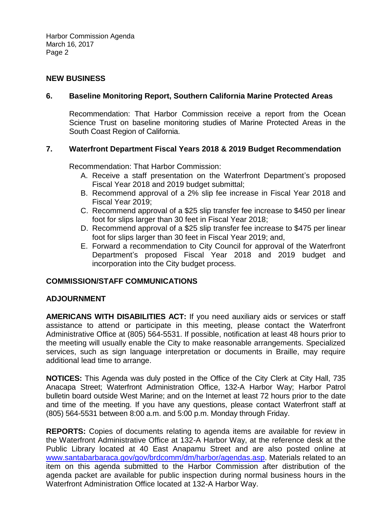Harbor Commission Agenda March 16, 2017 Page 2

#### **NEW BUSINESS**

#### **6. Baseline Monitoring Report, Southern California Marine Protected Areas**

Recommendation: That Harbor Commission receive a report from the Ocean Science Trust on baseline monitoring studies of Marine Protected Areas in the South Coast Region of California.

#### **7. Waterfront Department Fiscal Years 2018 & 2019 Budget Recommendation**

Recommendation: That Harbor Commission:

- A. Receive a staff presentation on the Waterfront Department's proposed Fiscal Year 2018 and 2019 budget submittal;
- B. Recommend approval of a 2% slip fee increase in Fiscal Year 2018 and Fiscal Year 2019;
- C. Recommend approval of a \$25 slip transfer fee increase to \$450 per linear foot for slips larger than 30 feet in Fiscal Year 2018;
- D. Recommend approval of a \$25 slip transfer fee increase to \$475 per linear foot for slips larger than 30 feet in Fiscal Year 2019; and,
- E. Forward a recommendation to City Council for approval of the Waterfront Department's proposed Fiscal Year 2018 and 2019 budget and incorporation into the City budget process.

### **COMMISSION/STAFF COMMUNICATIONS**

#### **ADJOURNMENT**

**AMERICANS WITH DISABILITIES ACT:** If you need auxiliary aids or services or staff assistance to attend or participate in this meeting, please contact the Waterfront Administrative Office at (805) 564-5531. If possible, notification at least 48 hours prior to the meeting will usually enable the City to make reasonable arrangements. Specialized services, such as sign language interpretation or documents in Braille, may require additional lead time to arrange.

**NOTICES:** This Agenda was duly posted in the Office of the City Clerk at City Hall, 735 Anacapa Street; Waterfront Administration Office, 132-A Harbor Way; Harbor Patrol bulletin board outside West Marine; and on the Internet at least 72 hours prior to the date and time of the meeting. If you have any questions, please contact Waterfront staff at (805) 564-5531 between 8:00 a.m. and 5:00 p.m. Monday through Friday.

**REPORTS:** Copies of documents relating to agenda items are available for review in the Waterfront Administrative Office at 132-A Harbor Way, at the reference desk at the Public Library located at 40 East Anapamu Street and are also posted online at [www.santabarbaraca.gov/gov/brdcomm/dm/harbor/agendas.asp.](http://www.santabarbaraca.gov/gov/brdcomm/dm/harbor/agendas.asp) Materials related to an item on this agenda submitted to the Harbor Commission after distribution of the agenda packet are available for public inspection during normal business hours in the Waterfront Administration Office located at 132-A Harbor Way.